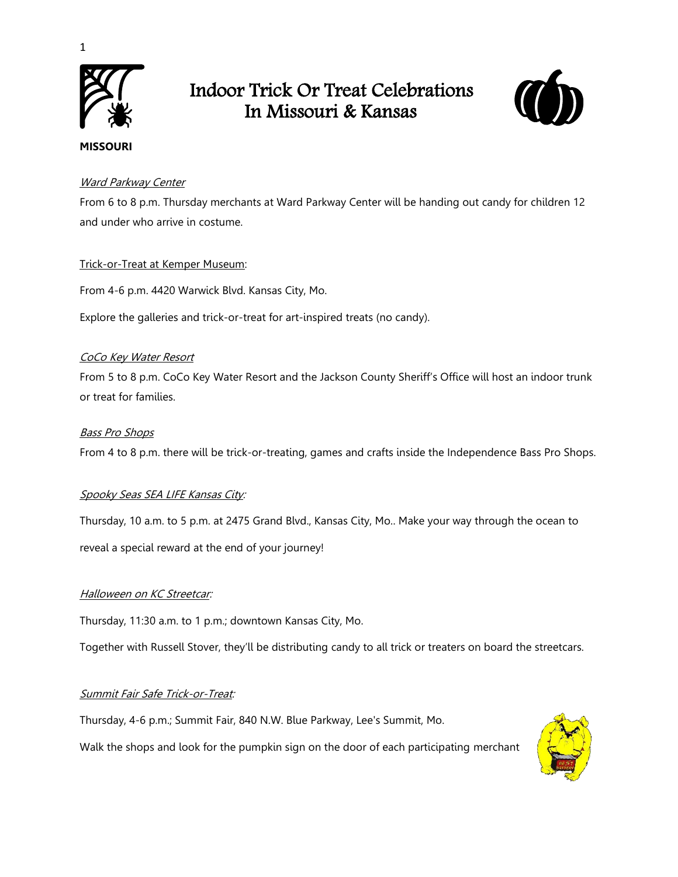

1

## Indoor Trick Or Treat Celebrations In Missouri & Kansas



# **MISSOURI**

## **[Ward Parkway Center](https://www.facebook.com/events/ward-parkway-center/trick-or-treat-at-ward-parkway-center/406383063385714/)**

From 6 to 8 p.m. Thursday merchants at Ward Parkway Center will be handing out candy for children 12 and under who arrive in costume.

## [Trick-or-Treat at Kemper Museum:](https://www.eventbrite.com/e/trick-or-treat-at-kemper-museum-tickets-68188350191)

From 4-6 p.m. 4420 Warwick Blvd. Kansas City, Mo.

Explore the galleries and trick-or-treat for art-inspired treats (no candy).

## [CoCo Key Water Resort](https://www.eventbrite.com/e/jsco-coco-key-trunk-or-treat-tickets-72274329465)

From 5 to 8 p.m. CoCo Key Water Resort and the Jackson County Sheriff's Office will host an indoor trunk or treat for families.

## [Bass Pro Shops](https://www.basspro.com/shop/en/halloween-event)

From 4 to 8 p.m. there will be trick-or-treating, games and crafts inside the Independence Bass Pro Shops.

## [Spooky Seas SEA LIFE Kansas City:](https://www.visitsealife.com/kansas-city/discover/news-events/)

Thursday, 10 a.m. to 5 p.m. at 2475 Grand Blvd., Kansas City, Mo.. Make your way through the ocean to reveal a special reward at the end of your journey!

## **[Halloween on KC Streetcar:](http://kcstreetcar.org/halloween-kc-streetcar/)**

Thursday, 11:30 a.m. to 1 p.m.; downtown Kansas City, Mo.

Together with Russell Stover, they'll be distributing candy to all trick or treaters on board the streetcars.

## [Summit Fair Safe Trick-or-Treat:](https://www.facebook.com/events/716797502168787/)

Thursday, 4-6 p.m.; Summit Fair, 840 N.W. Blue Parkway, Lee's Summit, Mo.

Walk the shops and look for the pumpkin sign on the door of each participating merchant

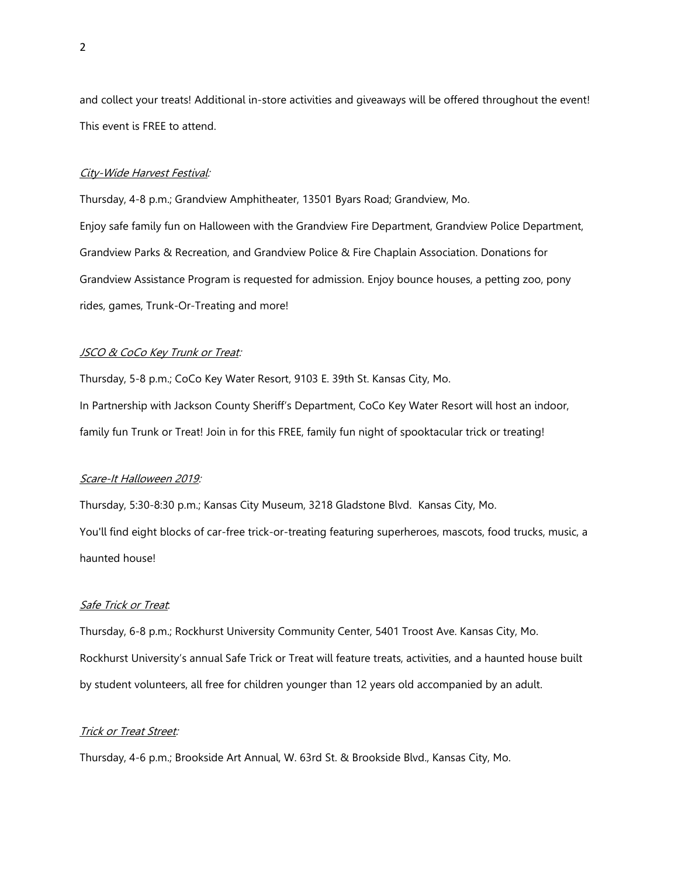and collect your treats! Additional in-store activities and giveaways will be offered throughout the event! This event is FREE to attend.

#### [City-Wide Harvest Festival:](https://www.grandview.org/Home/Components/Calendar/Event/7161/1225)

Thursday, 4-8 p.m.; Grandview Amphitheater, 13501 Byars Road; Grandview, Mo. Enjoy safe family fun on Halloween with the Grandview Fire Department, Grandview Police Department, Grandview Parks & Recreation, and Grandview Police & Fire Chaplain Association. Donations for Grandview Assistance Program is requested for admission. Enjoy bounce houses, a petting zoo, pony rides, games, Trunk-Or-Treating and more!

#### **JSCO & CoCo Key Trunk or Treat:**

Thursday, 5-8 p.m.; CoCo Key Water Resort, 9103 E. 39th St. Kansas City, Mo. In Partnership with Jackson County Sheriff's Department, CoCo Key Water Resort will host an indoor, family fun Trunk or Treat! Join in for this FREE, family fun night of spooktacular trick or treating!

#### [Scare-It Halloween 2019:](https://www.eventbrite.com/e/scare-it-halloween-2019-registration-59199759073)

Thursday, 5:30-8:30 p.m.; Kansas City Museum, 3218 Gladstone Blvd. Kansas City, Mo. You'll find eight blocks of car-free trick-or-treating featuring superheroes, mascots, food trucks, music, a haunted house!

#### [Safe Trick or Treat](https://kcparent.com/events/safe-trick-treat/):

Thursday, 6-8 p.m.; Rockhurst University Community Center, 5401 Troost Ave. Kansas City, Mo. Rockhurst University's annual Safe Trick or Treat will feature treats, activities, and a haunted house built by student volunteers, all free for children younger than 12 years old accompanied by an adult.

#### **[Trick or Treat Street:](https://www.facebook.com/events/brooksidekc/trick-or-treat-street/394394024844565/)**

Thursday, 4-6 p.m.; Brookside Art Annual, W. 63rd St. & Brookside Blvd., Kansas City, Mo.